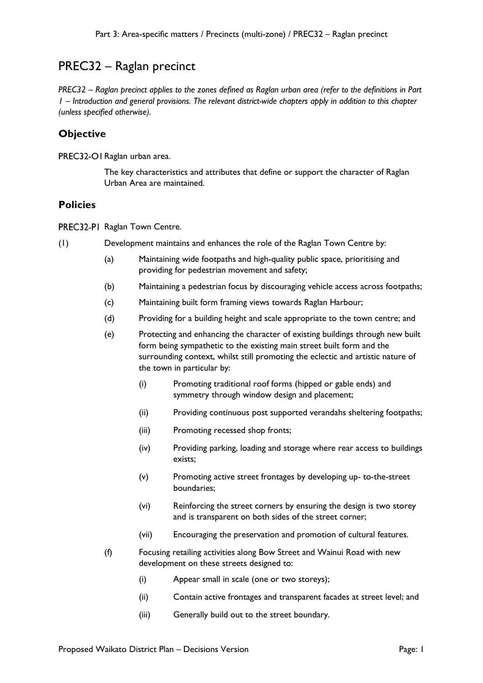## PREC32 – Raglan precinct

*PREC32 – Raglan precinct applies to the zones defined as Raglan urban area (refer to the definitions in Part 1 – Introduction and general provisions. The relevant district-wide chapters apply in addition to this chapter (unless specified otherwise).* 

## **Objective**

PREC32-OI Raglan urban area.

The key characteristics and attributes that define or support the character of Raglan Urban Area are maintained.

## **Policies**

PREC32-PI Raglan Town Centre.

- (1) Development maintains and enhances the role of the Raglan Town Centre by:
	- (a) Maintaining wide footpaths and high-quality public space, prioritising and providing for pedestrian movement and safety;
	- (b) Maintaining a pedestrian focus by discouraging vehicle access across footpaths;
	- (c) Maintaining built form framing views towards Raglan Harbour;
	- (d) Providing for a building height and scale appropriate to the town centre; and
	- (e) Protecting and enhancing the character of existing buildings through new built form being sympathetic to the existing main street built form and the surrounding context, whilst still promoting the eclectic and artistic nature of the town in particular by:
		- (i) Promoting traditional roof forms (hipped or gable ends) and symmetry through window design and placement;
		- (ii) Providing continuous post supported verandahs sheltering footpaths;
		- (iii) Promoting recessed shop fronts;
		- (iv) Providing parking, loading and storage where rear access to buildings exists;
		- (v) Promoting active street frontages by developing up- to-the-street boundaries;
		- (vi) Reinforcing the street corners by ensuring the design is two storey and is transparent on both sides of the street corner;
		- (vii) Encouraging the preservation and promotion of cultural features.
	- (f) Focusing retailing activities along Bow Street and Wainui Road with new development on these streets designed to:
		- (i) Appear small in scale (one or two storeys);
		- (ii) Contain active frontages and transparent facades at street level; and
		- (iii) Generally build out to the street boundary.